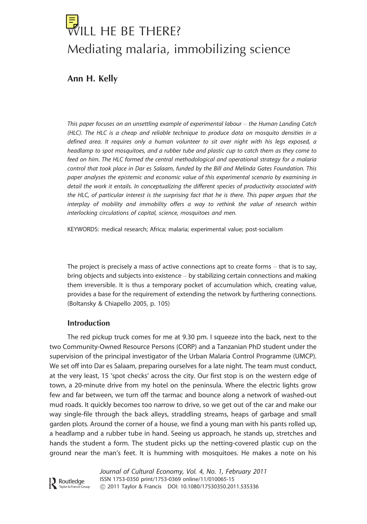# WILL HE BE THERE? Mediating malaria, immobilizing science

# Ann H. Kelly

This paper focuses on an unsettling example of experimental labour - the Human Landing Catch (HLC). The HLC is a cheap and reliable technique to produce data on mosquito densities in a defined area. It requires only a human volunteer to sit over night with his legs exposed, a headlamp to spot mosquitoes, and a rubber tube and plastic cup to catch them as they come to feed on him. The HLC formed the central methodological and operational strategy for a malaria control that took place in Dar es Salaam, funded by the Bill and Melinda Gates Foundation. This paper analyses the epistemic and economic value of this experimental scenario by examining in detail the work it entails. In conceptualizing the different species of productivity associated with the HLC, of particular interest is the surprising fact that he is there. This paper argues that the interplay of mobility and immobility offers a way to rethink the value of research within interlocking circulations of capital, science, mosquitoes and men.

KEYWORDS: medical research; Africa; malaria; experimental value; post-socialism

The project is precisely a mass of active connections apt to create forms  $-$  that is to say, bring objects and subjects into existence  $-$  by stabilizing certain connections and making them irreversible. It is thus a temporary pocket of accumulation which, creating value, provides a base for the requirement of extending the network by furthering connections. (Boltansky & Chiapello 2005, p. 105)

#### Introduction

The red pickup truck comes for me at 9.30 pm. I squeeze into the back, next to the two Community-Owned Resource Persons (CORP) and a Tanzanian PhD student under the supervision of the principal investigator of the Urban Malaria Control Programme (UMCP). We set off into Dar es Salaam, preparing ourselves for a late night. The team must conduct, at the very least, 15 'spot checks' across the city. Our first stop is on the western edge of town, a 20-minute drive from my hotel on the peninsula. Where the electric lights grow few and far between, we turn off the tarmac and bounce along a network of washed-out mud roads. It quickly becomes too narrow to drive, so we get out of the car and make our way single-file through the back alleys, straddling streams, heaps of garbage and small garden plots. Around the corner of a house, we find a young man with his pants rolled up, a headlamp and a rubber tube in hand. Seeing us approach, he stands up, stretches and hands the student a form. The student picks up the netting-covered plastic cup on the ground near the man's feet. It is humming with mosquitoes. He makes a note on his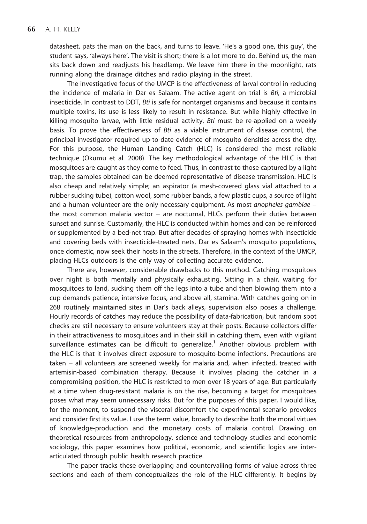datasheet, pats the man on the back, and turns to leave. 'He's a good one, this guy', the student says, 'always here'. The visit is short; there is a lot more to do. Behind us, the man sits back down and readjusts his headlamp. We leave him there in the moonlight, rats running along the drainage ditches and radio playing in the street.

The investigative focus of the UMCP is the effectiveness of larval control in reducing the incidence of malaria in Dar es Salaam. The active agent on trial is Bti, a microbial insecticide. In contrast to DDT, Bti is safe for nontarget organisms and because it contains multiple toxins, its use is less likely to result in resistance. But while highly effective in killing mosquito larvae, with little residual activity, Bti must be re-applied on a weekly basis. To prove the effectiveness of  $Bt$ i as a viable instrument of disease control, the principal investigator required up-to-date evidence of mosquito densities across the city. For this purpose, the Human Landing Catch (HLC) is considered the most reliable technique (Okumu et al. 2008). The key methodological advantage of the HLC is that mosquitoes are caught as they come to feed. Thus, in contrast to those captured by a light trap, the samples obtained can be deemed representative of disease transmission. HLC is also cheap and relatively simple; an aspirator (a mesh-covered glass vial attached to a rubber sucking tube), cotton wool, some rubber bands, a few plastic cups, a source of light and a human volunteer are the only necessary equipment. As most anopheles gambiae  $$ the most common malaria vector  $-$  are nocturnal, HLCs perform their duties between sunset and sunrise. Customarily, the HLC is conducted within homes and can be reinforced or supplemented by a bed-net trap. But after decades of spraying homes with insecticide and covering beds with insecticide-treated nets, Dar es Salaam's mosquito populations, once domestic, now seek their hosts in the streets. Therefore, in the context of the UMCP, placing HLCs outdoors is the only way of collecting accurate evidence.

There are, however, considerable drawbacks to this method. Catching mosquitoes over night is both mentally and physically exhausting. Sitting in a chair, waiting for mosquitoes to land, sucking them off the legs into a tube and then blowing them into a cup demands patience, intensive focus, and above all, stamina. With catches going on in 268 routinely maintained sites in Dar's back alleys, supervision also poses a challenge. Hourly records of catches may reduce the possibility of data-fabrication, but random spot checks are still necessary to ensure volunteers stay at their posts. Because collectors differ in their attractiveness to mosquitoes and in their skill in catching them, even with vigilant surveillance estimates can be difficult to generalize.<sup>1</sup> Another obvious problem with the HLC is that it involves direct exposure to mosquito-borne infections. Precautions are  $t$ aken  $-$  all volunteers are screened weekly for malaria and, when infected, treated with artemisin-based combination therapy. Because it involves placing the catcher in a compromising position, the HLC is restricted to men over 18 years of age. But particularly at a time when drug-resistant malaria is on the rise, becoming a target for mosquitoes poses what may seem unnecessary risks. But for the purposes of this paper, I would like, for the moment, to suspend the visceral discomfort the experimental scenario provokes and consider first its value. I use the term value, broadly to describe both the moral virtues of knowledge-production and the monetary costs of malaria control. Drawing on theoretical resources from anthropology, science and technology studies and economic sociology, this paper examines how political, economic, and scientific logics are interarticulated through public health research practice.

The paper tracks these overlapping and countervailing forms of value across three sections and each of them conceptualizes the role of the HLC differently. It begins by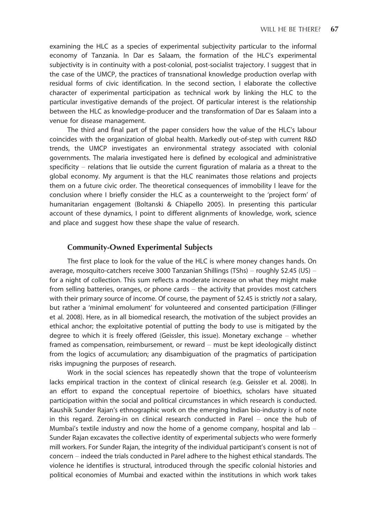examining the HLC as a species of experimental subjectivity particular to the informal economy of Tanzania. In Dar es Salaam, the formation of the HLC's experimental subjectivity is in continuity with a post-colonial, post-socialist trajectory. I suggest that in the case of the UMCP, the practices of transnational knowledge production overlap with residual forms of civic identification. In the second section, I elaborate the collective character of experimental participation as technical work by linking the HLC to the particular investigative demands of the project. Of particular interest is the relationship between the HLC as knowledge-producer and the transformation of Dar es Salaam into a venue for disease management.

The third and final part of the paper considers how the value of the HLC's labour coincides with the organization of global health. Markedly out-of-step with current R&D trends, the UMCP investigates an environmental strategy associated with colonial governments. The malaria investigated here is defined by ecological and administrative specificity  $-$  relations that lie outside the current figuration of malaria as a threat to the global economy. My argument is that the HLC reanimates those relations and projects them on a future civic order. The theoretical consequences of immobility I leave for the conclusion where I briefly consider the HLC as a counterweight to the 'project form' of humanitarian engagement (Boltanski & Chiapello 2005). In presenting this particular account of these dynamics, I point to different alignments of knowledge, work, science and place and suggest how these shape the value of research.

#### Community-Owned Experimental Subjects

The first place to look for the value of the HLC is where money changes hands. On average, mosquito-catchers receive 3000 Tanzanian Shillings (TShs) - roughly \$2.45 (US) for a night of collection. This sum reflects a moderate increase on what they might make from selling batteries, oranges, or phone cards  $-$  the activity that provides most catchers with their primary source of income. Of course, the payment of \$2.45 is strictly not a salary, but rather a 'minimal emolument' for volunteered and consented participation (Fillinger et al. 2008). Here, as in all biomedical research, the motivation of the subject provides an ethical anchor; the exploitative potential of putting the body to use is mitigated by the degree to which it is freely offered (Geissler, this issue). Monetary exchange  $-$  whether framed as compensation, reimbursement, or reward  $-$  must be kept ideologically distinct from the logics of accumulation; any disambiguation of the pragmatics of participation risks impugning the purposes of research.

Work in the social sciences has repeatedly shown that the trope of volunteerism lacks empirical traction in the context of clinical research (e.g. Geissler et al. 2008). In an effort to expand the conceptual repertoire of bioethics, scholars have situated participation within the social and political circumstances in which research is conducted. Kaushik Sunder Rajan's ethnographic work on the emerging Indian bio-industry is of note in this regard. Zeroing-in on clinical research conducted in Parel  $-$  once the hub of Mumbai's textile industry and now the home of a genome company, hospital and lab  $-$ Sunder Rajan excavates the collective identity of experimental subjects who were formerly mill workers. For Sunder Rajan, the integrity of the individual participant's consent is not of concern – indeed the trials conducted in Parel adhere to the highest ethical standards. The violence he identifies is structural, introduced through the specific colonial histories and political economies of Mumbai and exacted within the institutions in which work takes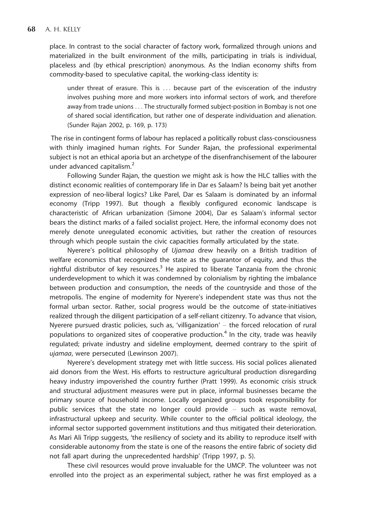place. In contrast to the social character of factory work, formalized through unions and materialized in the built environment of the mills, participating in trials is individual, placeless and (by ethical prescription) anonymous. As the Indian economy shifts from commodity-based to speculative capital, the working-class identity is:

under threat of erasure. This is ... because part of the evisceration of the industry involves pushing more and more workers into informal sectors of work, and therefore away from trade unions ... The structurally formed subject-position in Bombay is not one of shared social identification, but rather one of desperate individuation and alienation. (Sunder Rajan 2002, p. 169, p. 173)

The rise in contingent forms of labour has replaced a politically robust class-consciousness with thinly imagined human rights. For Sunder Rajan, the professional experimental subject is not an ethical aporia but an archetype of the disenfranchisement of the labourer under advanced capitalism.<sup>2</sup>

Following Sunder Rajan, the question we might ask is how the HLC tallies with the distinct economic realities of contemporary life in Dar es Salaam? Is being bait yet another expression of neo-liberal logics? Like Parel, Dar es Salaam is dominated by an informal economy (Tripp 1997). But though a flexibly configured economic landscape is characteristic of African urbanization (Simone 2004), Dar es Salaam's informal sector bears the distinct marks of a failed socialist project. Here, the informal economy does not merely denote unregulated economic activities, but rather the creation of resources through which people sustain the civic capacities formally articulated by the state.

Nyerere's political philosophy of Ujamaa drew heavily on a British tradition of welfare economics that recognized the state as the guarantor of equity, and thus the rightful distributor of key resources.<sup>3</sup> He aspired to liberate Tanzania from the chronic underdevelopment to which it was condemned by colonialism by righting the imbalance between production and consumption, the needs of the countryside and those of the metropolis. The engine of modernity for Nyerere's independent state was thus not the formal urban sector. Rather, social progress would be the outcome of state-initiatives realized through the diligent participation of a self-reliant citizenry. To advance that vision, Nyerere pursued drastic policies, such as, 'villiganization' - the forced relocation of rural populations to organized sites of cooperative production.<sup>4</sup> In the city, trade was heavily regulated; private industry and sideline employment, deemed contrary to the spirit of ujamaa, were persecuted (Lewinson 2007).

Nyerere's development strategy met with little success. His social polices alienated aid donors from the West. His efforts to restructure agricultural production disregarding heavy industry impoverished the country further (Pratt 1999). As economic crisis struck and structural adjustment measures were put in place, informal businesses became the primary source of household income. Locally organized groups took responsibility for public services that the state no longer could provide  $-$  such as waste removal, infrastructural upkeep and security. While counter to the official political ideology, the informal sector supported government institutions and thus mitigated their deterioration. As Mari Ali Tripp suggests, 'the resiliency of society and its ability to reproduce itself with considerable autonomy from the state is one of the reasons the entire fabric of society did not fall apart during the unprecedented hardship' (Tripp 1997, p. 5).

These civil resources would prove invaluable for the UMCP. The volunteer was not enrolled into the project as an experimental subject, rather he was first employed as a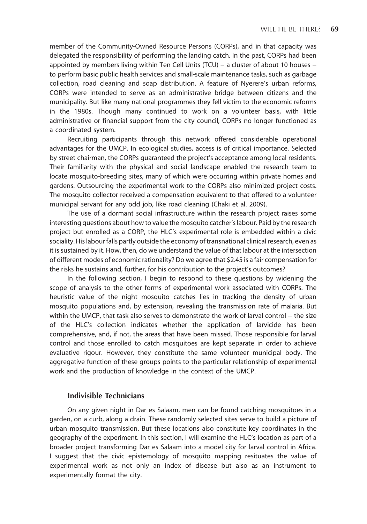member of the Community-Owned Resource Persons (CORPs), and in that capacity was delegated the responsibility of performing the landing catch. In the past, CORPs had been appointed by members living within Ten Cell Units (TCU)  $-$  a cluster of about 10 houses  $$ to perform basic public health services and small-scale maintenance tasks, such as garbage collection, road cleaning and soap distribution. A feature of Nyerere's urban reforms, CORPs were intended to serve as an administrative bridge between citizens and the municipality. But like many national programmes they fell victim to the economic reforms in the 1980s. Though many continued to work on a volunteer basis, with little administrative or financial support from the city council, CORPs no longer functioned as a coordinated system.

Recruiting participants through this network offered considerable operational advantages for the UMCP. In ecological studies, access is of critical importance. Selected by street chairman, the CORPs guaranteed the project's acceptance among local residents. Their familiarity with the physical and social landscape enabled the research team to locate mosquito-breeding sites, many of which were occurring within private homes and gardens. Outsourcing the experimental work to the CORPs also minimized project costs. The mosquito collector received a compensation equivalent to that offered to a volunteer municipal servant for any odd job, like road cleaning (Chaki et al. 2009).

The use of a dormant social infrastructure within the research project raises some interesting questions about how to value the mosquito catcher's labour. Paid by the research project but enrolled as a CORP, the HLC's experimental role is embedded within a civic sociality. His labour falls partly outside the economy of transnational clinical research, even as it is sustained by it. How, then, do we understand the value of that labour at the intersection of different modes of economic rationality? Do we agree that \$2.45 is a fair compensation for the risks he sustains and, further, for his contribution to the project's outcomes?

In the following section, I begin to respond to these questions by widening the scope of analysis to the other forms of experimental work associated with CORPs. The heuristic value of the night mosquito catches lies in tracking the density of urban mosquito populations and, by extension, revealing the transmission rate of malaria. But within the UMCP, that task also serves to demonstrate the work of larval control  $-$  the size of the HLC's collection indicates whether the application of larvicide has been comprehensive, and, if not, the areas that have been missed. Those responsible for larval control and those enrolled to catch mosquitoes are kept separate in order to achieve evaluative rigour. However, they constitute the same volunteer municipal body. The aggregative function of these groups points to the particular relationship of experimental work and the production of knowledge in the context of the UMCP.

### Indivisible Technicians

On any given night in Dar es Salaam, men can be found catching mosquitoes in a garden, on a curb, along a drain. These randomly selected sites serve to build a picture of urban mosquito transmission. But these locations also constitute key coordinates in the geography of the experiment. In this section, I will examine the HLC's location as part of a broader project transforming Dar es Salaam into a model city for larval control in Africa. I suggest that the civic epistemology of mosquito mapping resituates the value of experimental work as not only an index of disease but also as an instrument to experimentally format the city.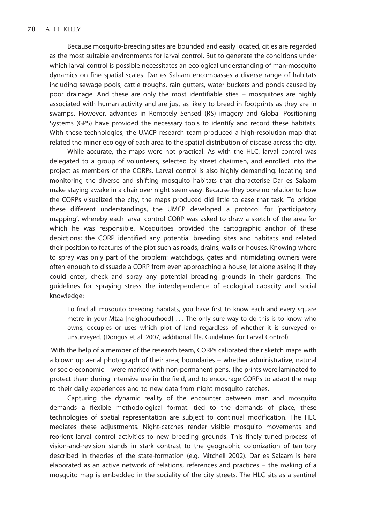Because mosquito-breeding sites are bounded and easily located, cities are regarded as the most suitable environments for larval control. But to generate the conditions under which larval control is possible necessitates an ecological understanding of man-mosquito dynamics on fine spatial scales. Dar es Salaam encompasses a diverse range of habitats including sewage pools, cattle troughs, rain gutters, water buckets and ponds caused by poor drainage. And these are only the most identifiable sties - mosquitoes are highly associated with human activity and are just as likely to breed in footprints as they are in swamps. However, advances in Remotely Sensed (RS) imagery and Global Positioning Systems (GPS) have provided the necessary tools to identify and record these habitats. With these technologies, the UMCP research team produced a high-resolution map that related the minor ecology of each area to the spatial distribution of disease across the city.

While accurate, the maps were not practical. As with the HLC, larval control was delegated to a group of volunteers, selected by street chairmen, and enrolled into the project as members of the CORPs. Larval control is also highly demanding: locating and monitoring the diverse and shifting mosquito habitats that characterise Dar es Salaam make staying awake in a chair over night seem easy. Because they bore no relation to how the CORPs visualized the city, the maps produced did little to ease that task. To bridge these different understandings, the UMCP developed a protocol for 'participatory mapping', whereby each larval control CORP was asked to draw a sketch of the area for which he was responsible. Mosquitoes provided the cartographic anchor of these depictions; the CORP identified any potential breeding sites and habitats and related their position to features of the plot such as roads, drains, walls or houses. Knowing where to spray was only part of the problem: watchdogs, gates and intimidating owners were often enough to dissuade a CORP from even approaching a house, let alone asking if they could enter, check and spray any potential breading grounds in their gardens. The guidelines for spraying stress the interdependence of ecological capacity and social knowledge:

To find all mosquito breeding habitats, you have first to know each and every square metre in your Mtaa [neighbourhood] ... The only sure way to do this is to know who owns, occupies or uses which plot of land regardless of whether it is surveyed or unsurveyed. (Dongus et al. 2007, additional file, Guidelines for Larval Control)

With the help of a member of the research team, CORPs calibrated their sketch maps with a blown up aerial photograph of their area; boundaries  $-$  whether administrative, natural or socio-economic – were marked with non-permanent pens. The prints were laminated to protect them during intensive use in the field, and to encourage CORPs to adapt the map to their daily experiences and to new data from night mosquito catches.

Capturing the dynamic reality of the encounter between man and mosquito demands a flexible methodological format: tied to the demands of place, these technologies of spatial representation are subject to continual modification. The HLC mediates these adjustments. Night-catches render visible mosquito movements and reorient larval control activities to new breeding grounds. This finely tuned process of vision-and-revision stands in stark contrast to the geographic colonization of territory described in theories of the state-formation (e.g. Mitchell 2002). Dar es Salaam is here elaborated as an active network of relations, references and practices  $-$  the making of a mosquito map is embedded in the sociality of the city streets. The HLC sits as a sentinel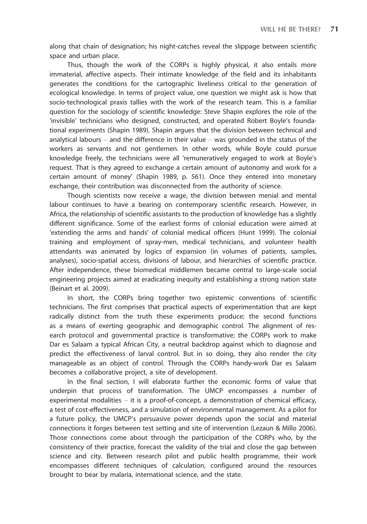along that chain of designation; his night-catches reveal the slippage between scientific space and urban place.

Thus, though the work of the CORPs is highly physical, it also entails more immaterial, affective aspects. Their intimate knowledge of the field and its inhabitants generates the conditions for the cartographic liveliness critical to the generation of ecological knowledge. In terms of project value, one question we might ask is how that socio-technological praxis tallies with the work of the research team. This is a familiar question for the sociology of scientific knowledge: Steve Shapin explores the role of the 'invisible' technicians who designed, constructed, and operated Robert Boyle's foundational experiments (Shapin 1989). Shapin argues that the division between technical and analytical labours  $-$  and the difference in their value  $-$  was grounded in the status of the workers as servants and not gentlemen. In other words, while Boyle could pursue knowledge freely, the technicians were all 'remuneratively engaged to work at Boyle's request. That is they agreed to exchange a certain amount of autonomy and work for a certain amount of money' (Shapin 1989, p. 561). Once they entered into monetary exchange, their contribution was disconnected from the authority of science.

Though scientists now receive a wage, the division between menial and mental labour continues to have a bearing on contemporary scientific research. However, in Africa, the relationship of scientific assistants to the production of knowledge has a slightly different significance. Some of the earliest forms of colonial education were aimed at 'extending the arms and hands' of colonial medical officers (Hunt 1999). The colonial training and employment of spray-men, medical technicians, and volunteer health attendants was animated by logics of expansion (in volumes of patients, samples, analyses), socio-spatial access, divisions of labour, and hierarchies of scientific practice. After independence, these biomedical middlemen became central to large-scale social engineering projects aimed at eradicating inequity and establishing a strong nation state (Beinart et al. 2009).

In short, the CORPs bring together two epistemic conventions of scientific technicians. The first comprises that practical aspects of experimentation that are kept radically distinct from the truth these experiments produce; the second functions as a means of exerting geographic and demographic control. The alignment of research protocol and governmental practice is transformative; the CORPs work to make Dar es Salaam a typical African City, a neutral backdrop against which to diagnose and predict the effectiveness of larval control. But in so doing, they also render the city manageable as an object of control. Through the CORPs handy-work Dar es Salaam becomes a collaborative project, a site of development.

In the final section, I will elaborate further the economic forms of value that underpin that process of transformation. The UMCP encompasses a number of experimental modalities  $-$  it is a proof-of-concept, a demonstration of chemical efficacy, a test of cost-effectiveness, and a simulation of environmental management. As a pilot for a future policy, the UMCP's persuasive power depends upon the social and material connections it forges between test setting and site of intervention (Lezaun & Millo 2006). Those connections come about through the participation of the CORPs who, by the consistency of their practice, forecast the validity of the trial and close the gap between science and city. Between research pilot and public health programme, their work encompasses different techniques of calculation, configured around the resources brought to bear by malaria, international science, and the state.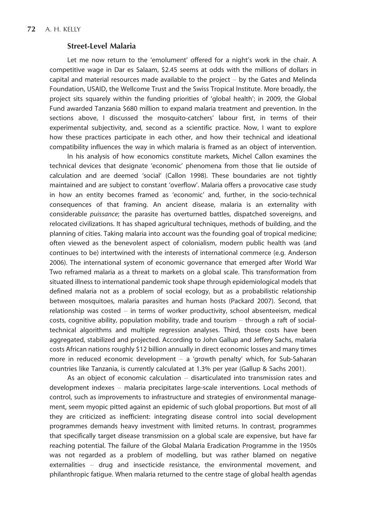#### Street-Level Malaria

Let me now return to the 'emolument' offered for a night's work in the chair. A competitive wage in Dar es Salaam, \$2.45 seems at odds with the millions of dollars in capital and material resources made available to the project  $-$  by the Gates and Melinda Foundation, USAID, the Wellcome Trust and the Swiss Tropical Institute. More broadly, the project sits squarely within the funding priorities of 'global health'; in 2009, the Global Fund awarded Tanzania \$680 million to expand malaria treatment and prevention. In the sections above, I discussed the mosquito-catchers' labour first, in terms of their experimental subjectivity, and, second as a scientific practice. Now, I want to explore how these practices participate in each other, and how their technical and ideational compatibility influences the way in which malaria is framed as an object of intervention.

In his analysis of how economics constitute markets, Michel Callon examines the technical devices that designate 'economic' phenomena from those that lie outside of calculation and are deemed 'social' (Callon 1998). These boundaries are not tightly maintained and are subject to constant 'overflow'. Malaria offers a provocative case study in how an entity becomes framed as 'economic' and, further, in the socio-technical consequences of that framing. An ancient disease, malaria is an externality with considerable puissance; the parasite has overturned battles, dispatched sovereigns, and relocated civilizations. It has shaped agricultural techniques, methods of building, and the planning of cities. Taking malaria into account was the founding goal of tropical medicine; often viewed as the benevolent aspect of colonialism, modern public health was (and continues to be) intertwined with the interests of international commerce (e.g. Anderson 2006). The international system of economic governance that emerged after World War Two reframed malaria as a threat to markets on a global scale. This transformation from situated illness to international pandemic took shape through epidemiological models that defined malaria not as a problem of social ecology, but as a probabilistic relationship between mosquitoes, malaria parasites and human hosts (Packard 2007). Second, that relationship was costed  $-$  in terms of worker productivity, school absenteeism, medical costs, cognitive ability, population mobility, trade and tourism  $-$  through a raft of socialtechnical algorithms and multiple regression analyses. Third, those costs have been aggregated, stabilized and projected. According to John Gallup and Jeffery Sachs, malaria costs African nations roughly \$12 billion annually in direct economic losses and many times more in reduced economic development  $-$  a 'growth penalty' which, for Sub-Saharan countries like Tanzania, is currently calculated at 1.3% per year (Gallup & Sachs 2001).

As an object of economic calculation  $-$  disarticulated into transmission rates and development indexes - malaria precipitates large-scale interventions. Local methods of control, such as improvements to infrastructure and strategies of environmental management, seem myopic pitted against an epidemic of such global proportions. But most of all they are criticized as inefficient: integrating disease control into social development programmes demands heavy investment with limited returns. In contrast, programmes that specifically target disease transmission on a global scale are expensive, but have far reaching potential. The failure of the Global Malaria Eradication Programme in the 1950s was not regarded as a problem of modelling, but was rather blamed on negative externalities  $-$  drug and insecticide resistance, the environmental movement, and philanthropic fatigue. When malaria returned to the centre stage of global health agendas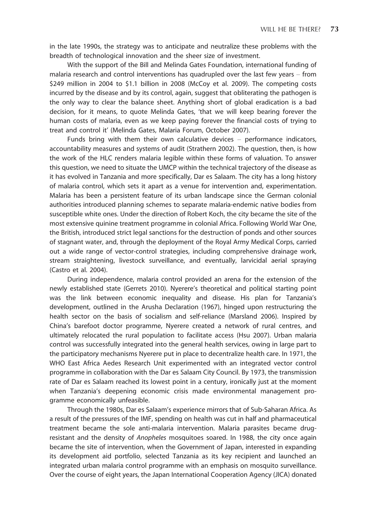in the late 1990s, the strategy was to anticipate and neutralize these problems with the breadth of technological innovation and the sheer size of investment.

With the support of the Bill and Melinda Gates Foundation, international funding of malaria research and control interventions has quadrupled over the last few years  $-$  from \$249 million in 2004 to \$1.1 billion in 2008 (McCoy et al. 2009). The competing costs incurred by the disease and by its control, again, suggest that obliterating the pathogen is the only way to clear the balance sheet. Anything short of global eradication is a bad decision, for it means, to quote Melinda Gates, 'that we will keep bearing forever the human costs of malaria, even as we keep paying forever the financial costs of trying to treat and control it' (Melinda Gates, Malaria Forum, October 2007).

Funds bring with them their own calculative devices  $-$  performance indicators, accountability measures and systems of audit (Strathern 2002). The question, then, is how the work of the HLC renders malaria legible within these forms of valuation. To answer this question, we need to situate the UMCP within the technical trajectory of the disease as it has evolved in Tanzania and more specifically, Dar es Salaam. The city has a long history of malaria control, which sets it apart as a venue for intervention and, experimentation. Malaria has been a persistent feature of its urban landscape since the German colonial authorities introduced planning schemes to separate malaria-endemic native bodies from susceptible white ones. Under the direction of Robert Koch, the city became the site of the most extensive quinine treatment programme in colonial Africa. Following World War One, the British, introduced strict legal sanctions for the destruction of ponds and other sources of stagnant water, and, through the deployment of the Royal Army Medical Corps, carried out a wide range of vector-control strategies, including comprehensive drainage work, stream straightening, livestock surveillance, and eventually, larvicidal aerial spraying (Castro et al. 2004).

During independence, malaria control provided an arena for the extension of the newly established state (Gerrets 2010). Nyerere's theoretical and political starting point was the link between economic inequality and disease. His plan for Tanzania's development, outlined in the Arusha Declaration (1967), hinged upon restructuring the health sector on the basis of socialism and self-reliance (Marsland 2006). Inspired by China's barefoot doctor programme, Nyerere created a network of rural centres, and ultimately relocated the rural population to facilitate access (Hsu 2007). Urban malaria control was successfully integrated into the general health services, owing in large part to the participatory mechanisms Nyerere put in place to decentralize health care. In 1971, the WHO East Africa Aedes Research Unit experimented with an integrated vector control programme in collaboration with the Dar es Salaam City Council. By 1973, the transmission rate of Dar es Salaam reached its lowest point in a century, ironically just at the moment when Tanzania's deepening economic crisis made environmental management programme economically unfeasible.

Through the 1980s, Dar es Salaam's experience mirrors that of Sub-Saharan Africa. As a result of the pressures of the IMF, spending on health was cut in half and pharmaceutical treatment became the sole anti-malaria intervention. Malaria parasites became drugresistant and the density of Anopheles mosquitoes soared. In 1988, the city once again became the site of intervention, when the Government of Japan, interested in expanding its development aid portfolio, selected Tanzania as its key recipient and launched an integrated urban malaria control programme with an emphasis on mosquito surveillance. Over the course of eight years, the Japan International Cooperation Agency (JICA) donated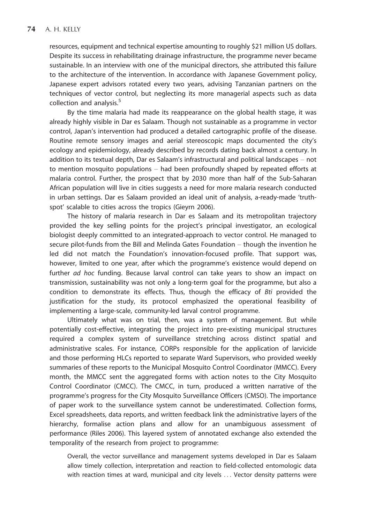resources, equipment and technical expertise amounting to roughly \$21 million US dollars. Despite its success in rehabilitating drainage infrastructure, the programme never became sustainable. In an interview with one of the municipal directors, she attributed this failure to the architecture of the intervention. In accordance with Japanese Government policy, Japanese expert advisors rotated every two years, advising Tanzanian partners on the techniques of vector control, but neglecting its more managerial aspects such as data collection and analysis.<sup>5</sup>

By the time malaria had made its reappearance on the global health stage, it was already highly visible in Dar es Salaam. Though not sustainable as a programme in vector control, Japan's intervention had produced a detailed cartographic profile of the disease. Routine remote sensory images and aerial stereoscopic maps documented the city's ecology and epidemiology, already described by records dating back almost a century. In addition to its textual depth, Dar es Salaam's infrastructural and political landscapes  $-$  not to mention mosquito populations had been profoundly shaped by repeated efforts at malaria control. Further, the prospect that by 2030 more than half of the Sub-Saharan African population will live in cities suggests a need for more malaria research conducted in urban settings. Dar es Salaam provided an ideal unit of analysis, a-ready-made 'truthspot' scalable to cities across the tropics (Gieyrn 2006).

The history of malaria research in Dar es Salaam and its metropolitan trajectory provided the key selling points for the project's principal investigator, an ecological biologist deeply committed to an integrated-approach to vector control. He managed to secure pilot-funds from the Bill and Melinda Gates Foundation  $-$  though the invention he led did not match the Foundation's innovation-focused profile. That support was, however, limited to one year, after which the programme's existence would depend on further ad hoc funding. Because larval control can take years to show an impact on transmission, sustainability was not only a long-term goal for the programme, but also a condition to demonstrate its effects. Thus, though the efficacy of  $Bti$  provided the justification for the study, its protocol emphasized the operational feasibility of implementing a large-scale, community-led larval control programme.

Ultimately what was on trial, then, was a system of management. But while potentially cost-effective, integrating the project into pre-existing municipal structures required a complex system of surveillance stretching across distinct spatial and administrative scales. For instance, CORPs responsible for the application of larvicide and those performing HLCs reported to separate Ward Supervisors, who provided weekly summaries of these reports to the Municipal Mosquito Control Coordinator (MMCC). Every month, the MMCC sent the aggregated forms with action notes to the City Mosquito Control Coordinator (CMCC). The CMCC, in turn, produced a written narrative of the programme's progress for the City Mosquito Surveillance Officers (CMSO). The importance of paper work to the surveillance system cannot be underestimated. Collection forms, Excel spreadsheets, data reports, and written feedback link the administrative layers of the hierarchy, formalise action plans and allow for an unambiguous assessment of performance (Riles 2006). This layered system of annotated exchange also extended the temporality of the research from project to programme:

Overall, the vector surveillance and management systems developed in Dar es Salaam allow timely collection, interpretation and reaction to field-collected entomologic data with reaction times at ward, municipal and city levels ... Vector density patterns were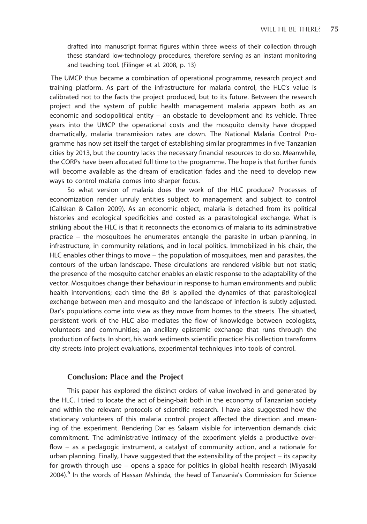drafted into manuscript format figures within three weeks of their collection through these standard low-technology procedures, therefore serving as an instant monitoring and teaching tool. (Filinger et al. 2008, p. 13)

The UMCP thus became a combination of operational programme, research project and training platform. As part of the infrastructure for malaria control, the HLC's value is calibrated not to the facts the project produced, but to its future. Between the research project and the system of public health management malaria appears both as an economic and sociopolitical entity  $-$  an obstacle to development and its vehicle. Three years into the UMCP the operational costs and the mosquito density have dropped dramatically, malaria transmission rates are down. The National Malaria Control Programme has now set itself the target of establishing similar programmes in five Tanzanian cities by 2013, but the country lacks the necessary financial resources to do so. Meanwhile, the CORPs have been allocated full time to the programme. The hope is that further funds will become available as the dream of eradication fades and the need to develop new ways to control malaria comes into sharper focus.

So what version of malaria does the work of the HLC produce? Processes of economization render unruly entities subject to management and subject to control (CalIskan & Callon 2009). As an economic object, malaria is detached from its political histories and ecological specificities and costed as a parasitological exchange. What is striking about the HLC is that it reconnects the economics of malaria to its administrative practice  $-$  the mosquitoes he enumerates entangle the parasite in urban planning, in infrastructure, in community relations, and in local politics. Immobilized in his chair, the HLC enables other things to move  $-$  the population of mosquitoes, men and parasites, the contours of the urban landscape. These circulations are rendered visible but not static; the presence of the mosquito catcher enables an elastic response to the adaptability of the vector. Mosquitoes change their behaviour in response to human environments and public health interventions; each time the *Bti* is applied the dynamics of that parasitological exchange between men and mosquito and the landscape of infection is subtly adjusted. Dar's populations come into view as they move from homes to the streets. The situated, persistent work of the HLC also mediates the flow of knowledge between ecologists, volunteers and communities; an ancillary epistemic exchange that runs through the production of facts. In short, his work sediments scientific practice: his collection transforms city streets into project evaluations, experimental techniques into tools of control.

#### Conclusion: Place and the Project

This paper has explored the distinct orders of value involved in and generated by the HLC. I tried to locate the act of being-bait both in the economy of Tanzanian society and within the relevant protocols of scientific research. I have also suggested how the stationary volunteers of this malaria control project affected the direction and meaning of the experiment. Rendering Dar es Salaam visible for intervention demands civic commitment. The administrative intimacy of the experiment yields a productive overflow  $-$  as a pedagogic instrument, a catalyst of community action, and a rationale for urban planning. Finally, I have suggested that the extensibility of the project  $-$  its capacity for growth through use  $-$  opens a space for politics in global health research (Miyasaki 2004).<sup>6</sup> In the words of Hassan Mshinda, the head of Tanzania's Commission for Science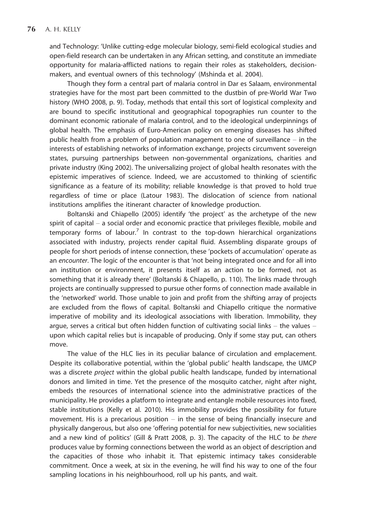and Technology: 'Unlike cutting-edge molecular biology, semi-field ecological studies and open-field research can be undertaken in any African setting, and constitute an immediate opportunity for malaria-afflicted nations to regain their roles as stakeholders, decisionmakers, and eventual owners of this technology' (Mshinda et al. 2004).

Though they form a central part of malaria control in Dar es Salaam, environmental strategies have for the most part been committed to the dustbin of pre-World War Two history (WHO 2008, p. 9). Today, methods that entail this sort of logistical complexity and are bound to specific institutional and geographical topographies run counter to the dominant economic rationale of malaria control, and to the ideological underpinnings of global health. The emphasis of Euro-American policy on emerging diseases has shifted public health from a problem of population management to one of surveillance  $-$  in the interests of establishing networks of information exchange, projects circumvent sovereign states, pursuing partnerships between non-governmental organizations, charities and private industry (King 2002). The universalizing project of global health resonates with the epistemic imperatives of science. Indeed, we are accustomed to thinking of scientific significance as a feature of its mobility; reliable knowledge is that proved to hold true regardless of time or place (Latour 1983). The dislocation of science from national institutions amplifies the itinerant character of knowledge production.

Boltanski and Chiapello (2005) identify 'the project' as the archetype of the new spirit of capital - a social order and economic practice that privileges flexible, mobile and temporary forms of labour.<sup>7</sup> In contrast to the top-down hierarchical organizations associated with industry, projects render capital fluid. Assembling disparate groups of people for short periods of intense connection, these 'pockets of accumulation' operate as an encounter. The logic of the encounter is that 'not being integrated once and for all into an institution or environment, it presents itself as an action to be formed, not as something that it is already there' (Boltanski & Chiapello, p. 110). The links made through projects are continually suppressed to pursue other forms of connection made available in the 'networked' world. Those unable to join and profit from the shifting array of projects are excluded from the flows of capital. Boltanski and Chiapello critique the normative imperative of mobility and its ideological associations with liberation. Immobility, they argue, serves a critical but often hidden function of cultivating social links  $-$  the values  $$ upon which capital relies but is incapable of producing. Only if some stay put, can others move.

The value of the HLC lies in its peculiar balance of circulation and emplacement. Despite its collaborative potential, within the 'global public' health landscape, the UMCP was a discrete project within the global public health landscape, funded by international donors and limited in time. Yet the presence of the mosquito catcher, night after night, embeds the resources of international science into the administrative practices of the municipality. He provides a platform to integrate and entangle mobile resources into fixed, stable institutions (Kelly et al. 2010). His immobility provides the possibility for future movement. His is a precarious position  $-$  in the sense of being financially insecure and physically dangerous, but also one 'offering potential for new subjectivities, new socialities and a new kind of politics' (Gill & Pratt 2008, p. 3). The capacity of the HLC to be there produces value by forming connections between the world as an object of description and the capacities of those who inhabit it. That epistemic intimacy takes considerable commitment. Once a week, at six in the evening, he will find his way to one of the four sampling locations in his neighbourhood, roll up his pants, and wait.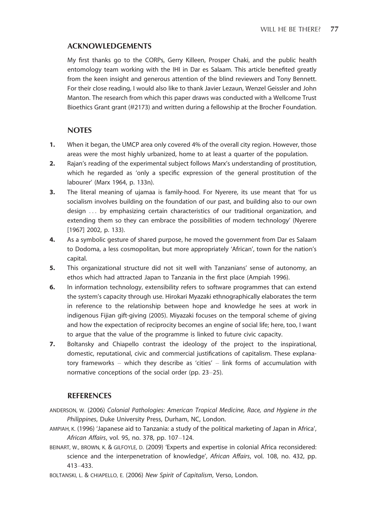## ACKNOWLEDGEMENTS

My first thanks go to the CORPs, Gerry Killeen, Prosper Chaki, and the public health entomology team working with the IHI in Dar es Salaam. This article benefited greatly from the keen insight and generous attention of the blind reviewers and Tony Bennett. For their close reading, I would also like to thank Javier Lezaun, Wenzel Geissler and John Manton. The research from which this paper draws was conducted with a Wellcome Trust Bioethics Grant grant (#2173) and written during a fellowship at the Brocher Foundation.

# **NOTES**

- 1. When it began, the UMCP area only covered 4% of the overall city region. However, those areas were the most highly urbanized, home to at least a quarter of the population.
- 2. Rajan's reading of the experimental subject follows Marx's understanding of prostitution, which he regarded as 'only a specific expression of the general prostitution of the labourer' (Marx 1964, p. 133n).
- 3. The literal meaning of ujamaa is family-hood. For Nyerere, its use meant that 'for us socialism involves building on the foundation of our past, and building also to our own design ... by emphasizing certain characteristics of our traditional organization, and extending them so they can embrace the possibilities of modern technology' (Nyerere [1967] 2002, p. 133).
- 4. As a symbolic gesture of shared purpose, he moved the government from Dar es Salaam to Dodoma, a less cosmopolitan, but more appropriately 'African', town for the nation's capital.
- 5. This organizational structure did not sit well with Tanzanians' sense of autonomy, an ethos which had attracted Japan to Tanzania in the first place (Ampiah 1996).
- 6. In information technology, extensibility refers to software programmes that can extend the system's capacity through use. Hirokari Myazaki ethnographically elaborates the term in reference to the relationship between hope and knowledge he sees at work in indigenous Fijian gift-giving (2005). Miyazaki focuses on the temporal scheme of giving and how the expectation of reciprocity becomes an engine of social life; here, too, I want to argue that the value of the programme is linked to future civic capacity.
- 7. Boltansky and Chiapello contrast the ideology of the project to the inspirational, domestic, reputational, civic and commercial justifications of capitalism. These explanatory frameworks  $-$  which they describe as 'cities'  $-$  link forms of accumulation with normative conceptions of the social order (pp.  $23-25$ ).

## **REFERENCES**

- ANDERSON, W. (2006) Colonial Pathologies: American Tropical Medicine, Race, and Hygiene in the Philippines, Duke University Press, Durham, NC, London.
- AMPIAH, K. (1996) 'Japanese aid to Tanzania: a study of the political marketing of Japan in Africa', African Affairs, vol. 95, no. 378, pp. 107-124.
- BEINART, W., BROWN, K. & GILFOYLE, D. (2009) 'Experts and expertise in colonial Africa reconsidered: science and the interpenetration of knowledge', African Affairs, vol. 108, no. 432, pp. 413-433.

BOLTANSKI, L. & CHIAPELLO, E. (2006) New Spirit of Capitalism, Verso, London.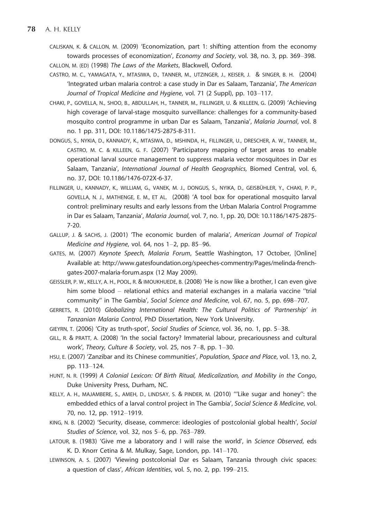- CALISKAN, K. & CALLON, M. (2009) 'Economization, part 1: shifting attention from the economy towards processes of economization', Economy and Society, vol. 38, no. 3, pp. 369–398. CALLON, M. (ED) (1998) The Laws of the Markets, Blackwell, Oxford.
- CASTRO, M. C., YAMAGATA, Y., MTASIWA, D., TANNER, M., UTZINGER, J., KEISER, J. & SINGER, B. H. (2004) 'Integrated urban malaria control: a case study in Dar es Salaam, Tanzania', The American Journal of Tropical Medicine and Hygiene, vol. 71 (2 Suppl), pp. 103-117.
- CHAKI, P., GOVELLA, N., SHOO, B., ABDULLAH, H., TANNER, M., FILLINGER, U. & KILLEEN, G. (2009) 'Achieving high coverage of larval-stage mosquito surveillance: challenges for a community-based mosquito control programme in urban Dar es Salaam, Tanzania', Malaria Journal, vol. 8 no. 1 pp. 311, DOI: 10.1186/1475-2875-8-311.
- DONGUS, S., NYKIA, D., KANNADY, K., MTASIWA, D., MSHINDA, H., FILLINGER, U., DRESCHER, A. W., TANNER, M., CASTRO, M. C. & KILLEEN, G. F. (2007) 'Participatory mapping of target areas to enable operational larval source management to suppress malaria vector mosquitoes in Dar es Salaam, Tanzania', International Journal of Health Geographics, Biomed Central, vol. 6, no. 37, DOI: 10.1186/1476-072X-6-37.
- FILLINGER, U., KANNADY, K., WILLIAM, G., VANEK, M. J., DONGUS, S., NYIKA, D., GEISBÜHLER, Y., CHAKI, P. P., GOVELLA, N. J., MATHENGE, E. M., ET AL. (2008) 'A tool box for operational mosquito larval control: preliminary results and early lessons from the Urban Malaria Control Programme in Dar es Salaam, Tanzania', Malaria Journal, vol. 7, no. 1, pp. 20, DOI: 10.1186/1475-2875- 7-20.
- GALLUP, J. & SACHS, J. (2001) 'The economic burden of malaria', American Journal of Tropical Medicine and Hygiene, vol. 64, nos  $1-2$ , pp. 85-96.
- GATES, M. (2007) Keynote Speech, Malaria Forum, Seattle Washington, 17 October, [Online] Available at: http://www.gatesfoundation.org/speeches-commentry/Pages/melinda-frenchgates-2007-malaria-forum.aspx (12 May 2009).
- GEISSLER, P. W., KELLY, A. H., POOL, R. & IMOUKHUEDE, B. (2008) 'He is now like a brother, I can even give him some blood - relational ethics and material exchanges in a malaria vaccine "trial community" in The Gambia', Social Science and Medicine, vol. 67, no. 5, pp. 698-707.
- GERRETS, R. (2010) Globalizing International Health: The Cultural Politics of 'Partnership' in Tanzanian Malaria Control, PhD Dissertation, New York University.
- GIEYRN, T. (2006) 'City as truth-spot', Social Studies of Science, vol. 36, no. 1, pp. 5-38.
- GILL, R. & PRATT, A. (2008) 'In the social factory? Immaterial labour, precariousness and cultural work', Theory, Culture & Society, vol. 25, nos 7-8, pp. 1-30.
- HSU, E. (2007) 'Zanzibar and its Chinese communities', Population, Space and Place, vol. 13, no. 2, pp. 113-124.
- HUNT, N. R. (1999) A Colonial Lexicon: Of Birth Ritual, Medicalization, and Mobility in the Congo, Duke University Press, Durham, NC.
- KELLY, A. H., MAJAMBERE, S., AMEH, D., LINDSAY, S. & PINDER, M. (2010) '''Like sugar and honey'': the embedded ethics of a larval control project in The Gambia', Social Science & Medicine, vol. 70, no. 12, pp. 1912-1919.
- KING, N. B. (2002) 'Security, disease, commerce: ideologies of postcolonial global health', Social Studies of Science, vol. 32, nos 5-6, pp. 763-789.
- LATOUR, B. (1983) 'Give me a laboratory and I will raise the world', in Science Observed, eds K. D. Knorr Cetina & M. Mulkay, Sage, London, pp. 141-170.
- LEWINSON, A. S. (2007) 'Viewing postcolonial Dar es Salaam, Tanzania through civic spaces: a question of class', African Identities, vol. 5, no. 2, pp. 199-215.